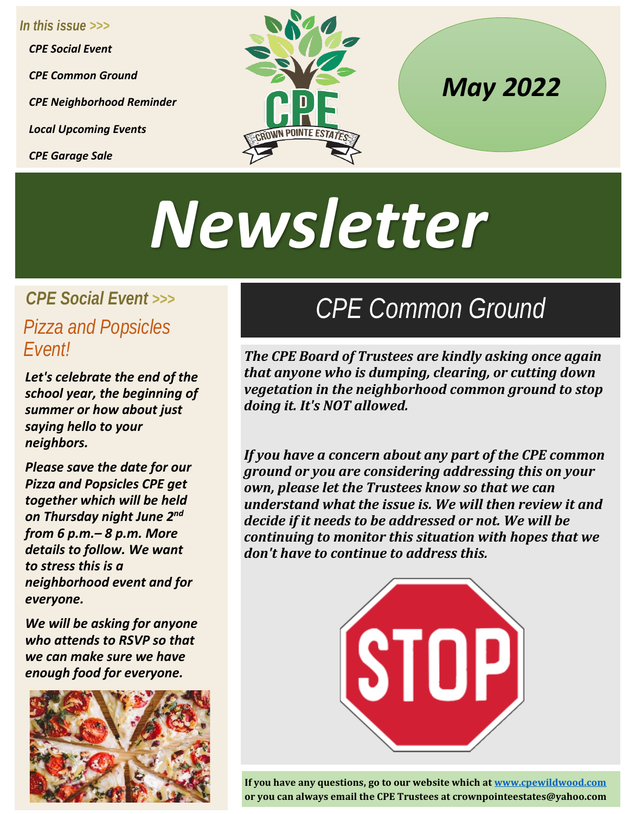*In this issue >>> CPE Social Event CPE Common Ground CPE Neighborhood Reminder Local Upcoming Events CPE Garage Sale*



### *May 2022*

# *Newsletter*

#### *CPE Social Event >>> Pizza and Popsicles Event!*

*Let's celebrate the end of the school year, the beginning of summer or how about just saying hello to your neighbors.*

*Please save the date for our Pizza and Popsicles CPE get together which will be held on Thursday night June 2nd from 6 p.m.– 8 p.m. More details to follow. We want to stress this is a neighborhood event and for everyone.* 

*We will be asking for anyone who attends to RSVP so that we can make sure we have enough food for everyone.* 



## *CPE Common Ground*

*The CPE Board of Trustees are kindly asking once again that anyone who is dumping, clearing, or cutting down vegetation in the neighborhood common ground to stop doing it. It's NOT allowed.* 

*If you have a concern about any part of the CPE common ground or you are considering addressing this on your own, please let the Trustees know so that we can understand what the issue is. We will then review it and decide if it needs to be addressed or not. We will be continuing to monitor this situation with hopes that we don't have to continue to address this.* 



**If you have any questions, go to our website which a[t www.cpewildwood.com](http://www.cpewildwood.com/) or you can always email the CPE Trustees at crownpointeestates@yahoo.com**